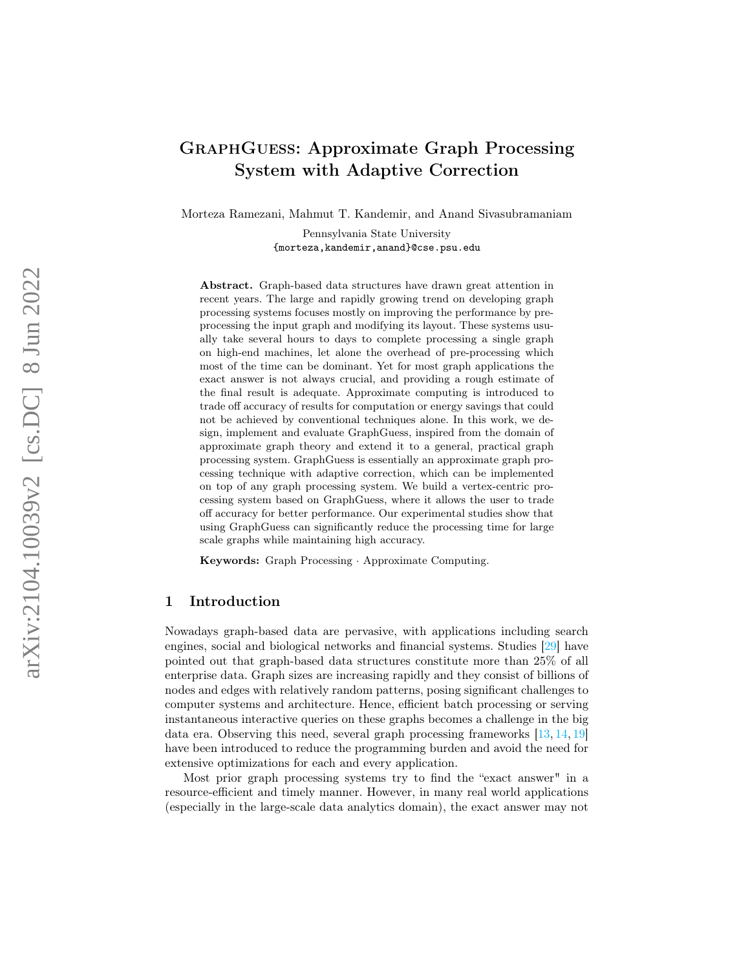# GraphGuess: Approximate Graph Processing System with Adaptive Correction

Morteza Ramezani, Mahmut T. Kandemir, and Anand Sivasubramaniam

Pennsylvania State University {morteza,kandemir,anand}@cse.psu.edu

Abstract. Graph-based data structures have drawn great attention in recent years. The large and rapidly growing trend on developing graph processing systems focuses mostly on improving the performance by preprocessing the input graph and modifying its layout. These systems usually take several hours to days to complete processing a single graph on high-end machines, let alone the overhead of pre-processing which most of the time can be dominant. Yet for most graph applications the exact answer is not always crucial, and providing a rough estimate of the final result is adequate. Approximate computing is introduced to trade off accuracy of results for computation or energy savings that could not be achieved by conventional techniques alone. In this work, we design, implement and evaluate GraphGuess, inspired from the domain of approximate graph theory and extend it to a general, practical graph processing system. GraphGuess is essentially an approximate graph processing technique with adaptive correction, which can be implemented on top of any graph processing system. We build a vertex-centric processing system based on GraphGuess, where it allows the user to trade off accuracy for better performance. Our experimental studies show that using GraphGuess can significantly reduce the processing time for large scale graphs while maintaining high accuracy.

Keywords: Graph Processing · Approximate Computing.

# 1 Introduction

Nowadays graph-based data are pervasive, with applications including search engines, social and biological networks and financial systems. Studies [\[29\]](#page-15-0) have pointed out that graph-based data structures constitute more than 25% of all enterprise data. Graph sizes are increasing rapidly and they consist of billions of nodes and edges with relatively random patterns, posing significant challenges to computer systems and architecture. Hence, efficient batch processing or serving instantaneous interactive queries on these graphs becomes a challenge in the big data era. Observing this need, several graph processing frameworks [\[13](#page-14-0), [14](#page-14-1), [19](#page-15-1)] have been introduced to reduce the programming burden and avoid the need for extensive optimizations for each and every application.

Most prior graph processing systems try to find the "exact answer" in a resource-efficient and timely manner. However, in many real world applications (especially in the large-scale data analytics domain), the exact answer may not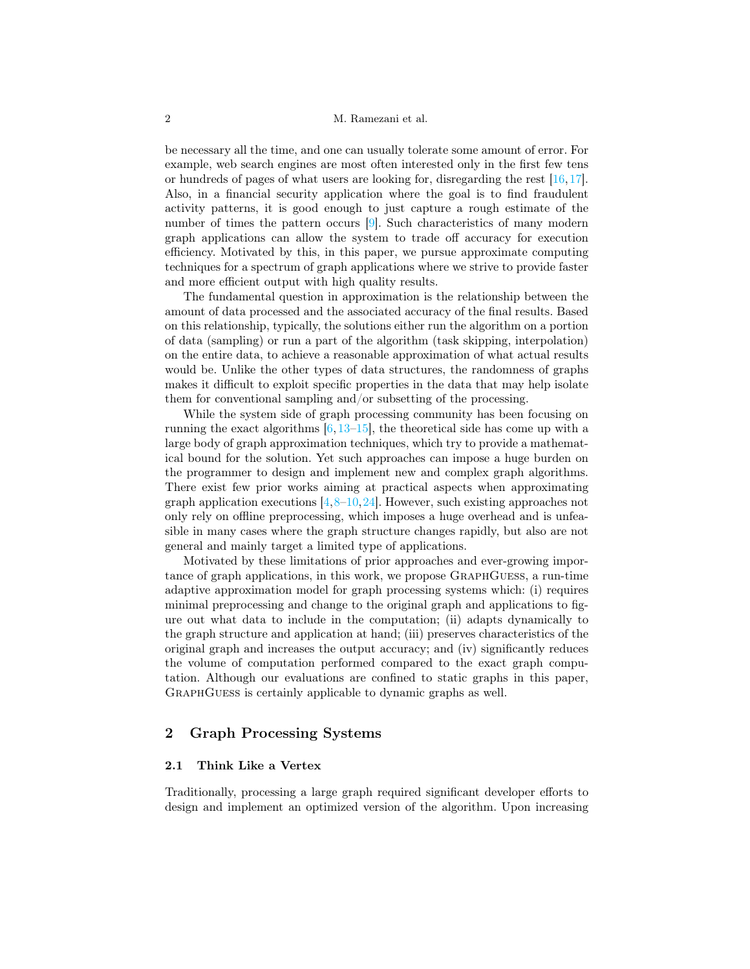be necessary all the time, and one can usually tolerate some amount of error. For example, web search engines are most often interested only in the first few tens or hundreds of pages of what users are looking for, disregarding the rest [\[16,](#page-15-2)[17\]](#page-15-3). Also, in a financial security application where the goal is to find fraudulent activity patterns, it is good enough to just capture a rough estimate of the number of times the pattern occurs [\[9\]](#page-14-2). Such characteristics of many modern graph applications can allow the system to trade off accuracy for execution efficiency. Motivated by this, in this paper, we pursue approximate computing techniques for a spectrum of graph applications where we strive to provide faster and more efficient output with high quality results.

The fundamental question in approximation is the relationship between the amount of data processed and the associated accuracy of the final results. Based on this relationship, typically, the solutions either run the algorithm on a portion of data (sampling) or run a part of the algorithm (task skipping, interpolation) on the entire data, to achieve a reasonable approximation of what actual results would be. Unlike the other types of data structures, the randomness of graphs makes it difficult to exploit specific properties in the data that may help isolate them for conventional sampling and/or subsetting of the processing.

While the system side of graph processing community has been focusing on running the exact algorithms  $[6,13-15]$  $[6,13-15]$  $[6,13-15]$ , the theoretical side has come up with a large body of graph approximation techniques, which try to provide a mathematical bound for the solution. Yet such approaches can impose a huge burden on the programmer to design and implement new and complex graph algorithms. There exist few prior works aiming at practical aspects when approximating graph application executions  $[4,8-10,24]$  $[4,8-10,24]$  $[4,8-10,24]$  $[4,8-10,24]$ . However, such existing approaches not only rely on offline preprocessing, which imposes a huge overhead and is unfeasible in many cases where the graph structure changes rapidly, but also are not general and mainly target a limited type of applications.

Motivated by these limitations of prior approaches and ever-growing importance of graph applications, in this work, we propose GraphGuess, a run-time adaptive approximation model for graph processing systems which: (i) requires minimal preprocessing and change to the original graph and applications to figure out what data to include in the computation; (ii) adapts dynamically to the graph structure and application at hand; (iii) preserves characteristics of the original graph and increases the output accuracy; and (iv) significantly reduces the volume of computation performed compared to the exact graph computation. Although our evaluations are confined to static graphs in this paper, GraphGuess is certainly applicable to dynamic graphs as well.

# <span id="page-1-0"></span>2 Graph Processing Systems

# 2.1 Think Like a Vertex

Traditionally, processing a large graph required significant developer efforts to design and implement an optimized version of the algorithm. Upon increasing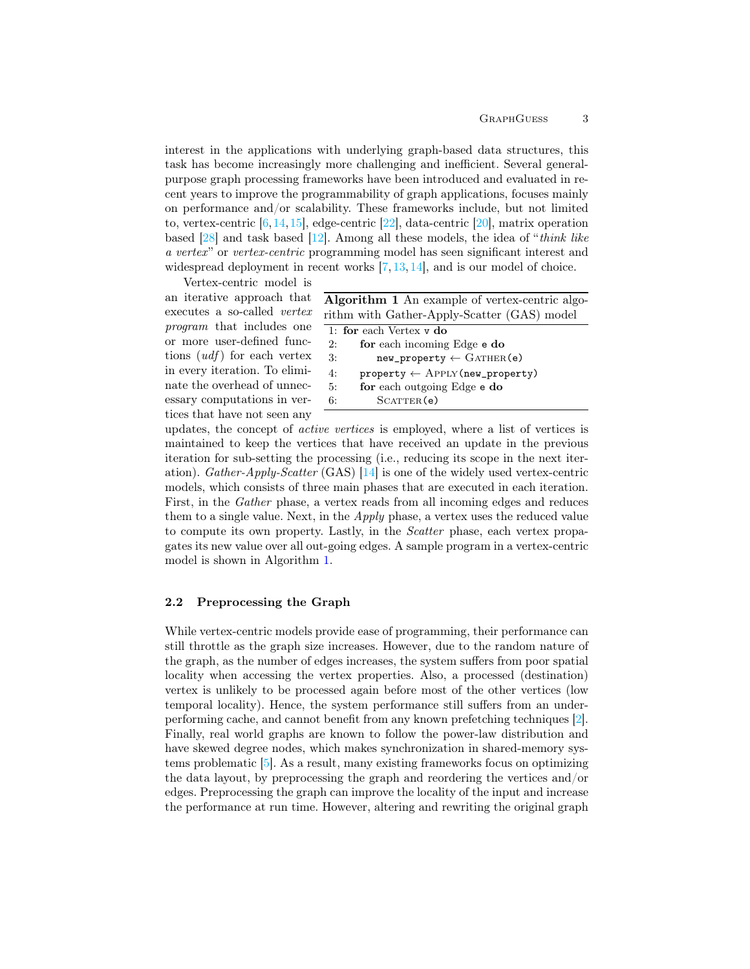interest in the applications with underlying graph-based data structures, this task has become increasingly more challenging and inefficient. Several generalpurpose graph processing frameworks have been introduced and evaluated in recent years to improve the programmability of graph applications, focuses mainly on performance and/or scalability. These frameworks include, but not limited to, vertex-centric [\[6,](#page-14-3)[14,](#page-14-1)[15\]](#page-15-4), edge-centric [\[22\]](#page-15-6), data-centric [\[20\]](#page-15-7), matrix operation based  $[28]$  and task based  $[12]$ . Among all these models, the idea of "*think like* a vertex" or vertex-centric programming model has seen significant interest and widespread deployment in recent works  $[7, 13, 14]$  $[7, 13, 14]$  $[7, 13, 14]$  $[7, 13, 14]$  $[7, 13, 14]$ , and is our model of choice.

Vertex-centric model is an iterative approach that executes a so-called vertex program that includes one or more user-defined functions  $(udf)$  for each vertex in every iteration. To eliminate the overhead of unnecessary computations in vertices that have not seen any

<span id="page-2-0"></span>

| <b>Algorithm 1</b> An example of vertex-centric algo- |                                             |  |  |  |  |  |  |
|-------------------------------------------------------|---------------------------------------------|--|--|--|--|--|--|
|                                                       | rithm with Gather-Apply-Scatter (GAS) model |  |  |  |  |  |  |
|                                                       | 1: for each Vertex $v$ do                   |  |  |  |  |  |  |
| 2:                                                    | for each incoming Edge e do                 |  |  |  |  |  |  |
| 3:                                                    | $new\_property \leftarrow GATHER(e)$        |  |  |  |  |  |  |
| 4:                                                    | property $\leftarrow$ APPLY (new_property)  |  |  |  |  |  |  |
| 5:                                                    | for each outgoing Edge e do                 |  |  |  |  |  |  |
| 6:                                                    | $S_{CATTER}$ $(e)$                          |  |  |  |  |  |  |
|                                                       |                                             |  |  |  |  |  |  |

updates, the concept of active vertices is employed, where a list of vertices is maintained to keep the vertices that have received an update in the previous iteration for sub-setting the processing (i.e., reducing its scope in the next iteration). Gather-Apply-Scatter (GAS) [\[14\]](#page-14-1) is one of the widely used vertex-centric models, which consists of three main phases that are executed in each iteration. First, in the Gather phase, a vertex reads from all incoming edges and reduces them to a single value. Next, in the Apply phase, a vertex uses the reduced value to compute its own property. Lastly, in the Scatter phase, each vertex propagates its new value over all out-going edges. A sample program in a vertex-centric model is shown in Algorithm [1.](#page-2-0)

#### 2.2 Preprocessing the Graph

While vertex-centric models provide ease of programming, their performance can still throttle as the graph size increases. However, due to the random nature of the graph, as the number of edges increases, the system suffers from poor spatial locality when accessing the vertex properties. Also, a processed (destination) vertex is unlikely to be processed again before most of the other vertices (low temporal locality). Hence, the system performance still suffers from an underperforming cache, and cannot benefit from any known prefetching techniques [\[2\]](#page-14-9). Finally, real world graphs are known to follow the power-law distribution and have skewed degree nodes, which makes synchronization in shared-memory systems problematic [\[5\]](#page-14-10). As a result, many existing frameworks focus on optimizing the data layout, by preprocessing the graph and reordering the vertices and/or edges. Preprocessing the graph can improve the locality of the input and increase the performance at run time. However, altering and rewriting the original graph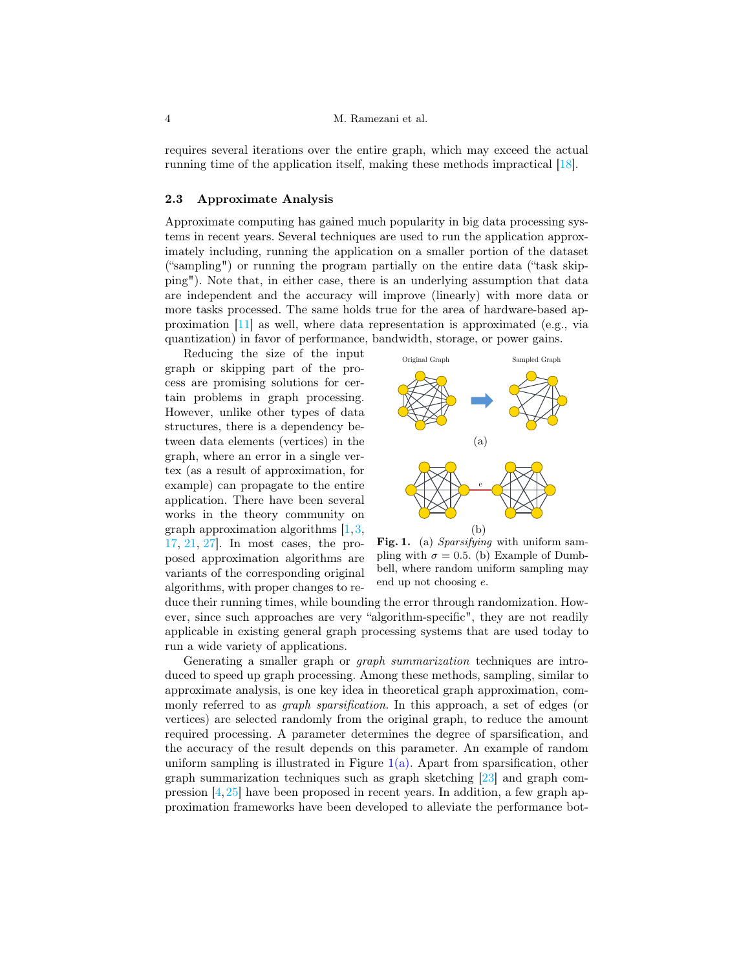requires several iterations over the entire graph, which may exceed the actual running time of the application itself, making these methods impractical [\[18\]](#page-15-9).

#### 2.3 Approximate Analysis

Approximate computing has gained much popularity in big data processing systems in recent years. Several techniques are used to run the application approximately including, running the application on a smaller portion of the dataset ("sampling") or running the program partially on the entire data ("task skipping"). Note that, in either case, there is an underlying assumption that data are independent and the accuracy will improve (linearly) with more data or more tasks processed. The same holds true for the area of hardware-based approximation [\[11\]](#page-14-11) as well, where data representation is approximated (e.g., via quantization) in favor of performance, bandwidth, storage, or power gains.

Reducing the size of the input graph or skipping part of the process are promising solutions for certain problems in graph processing. However, unlike other types of data structures, there is a dependency between data elements (vertices) in the graph, where an error in a single vertex (as a result of approximation, for example) can propagate to the entire application. There have been several works in the theory community on graph approximation algorithms  $[1,3]$  $[1,3]$ , [17,](#page-15-3) [21,](#page-15-10) [27\]](#page-15-11). In most cases, the proposed approximation algorithms are variants of the corresponding original algorithms, with proper changes to re-

<span id="page-3-0"></span>

<span id="page-3-1"></span>Fig. 1. (a) Sparsifying with uniform sampling with  $\sigma = 0.5$ . (b) Example of Dumbbell, where random uniform sampling may end up not choosing e.

duce their running times, while bounding the error through randomization. However, since such approaches are very "algorithm-specific", they are not readily applicable in existing general graph processing systems that are used today to run a wide variety of applications.

Generating a smaller graph or graph summarization techniques are introduced to speed up graph processing. Among these methods, sampling, similar to approximate analysis, is one key idea in theoretical graph approximation, commonly referred to as graph sparsification. In this approach, a set of edges (or vertices) are selected randomly from the original graph, to reduce the amount required processing. A parameter determines the degree of sparsification, and the accuracy of the result depends on this parameter. An example of random uniform sampling is illustrated in Figure  $1(a)$ . Apart from sparsification, other graph summarization techniques such as graph sketching [\[23\]](#page-15-12) and graph compression [\[4,](#page-14-4)[25\]](#page-15-13) have been proposed in recent years. In addition, a few graph approximation frameworks have been developed to alleviate the performance bot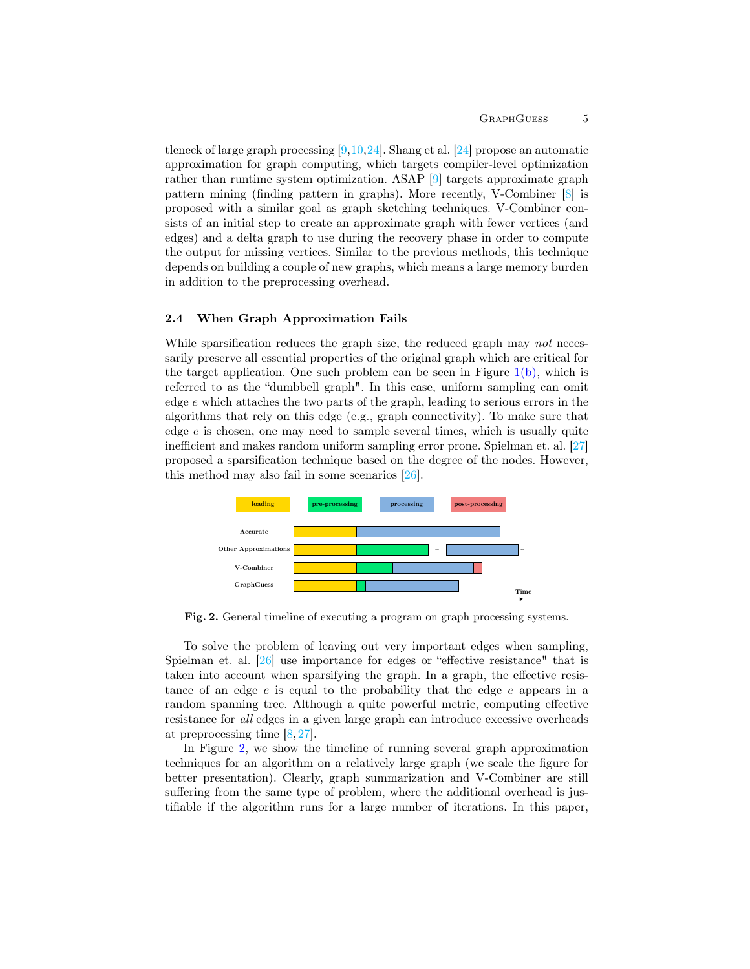tleneck of large graph processing [\[9,](#page-14-2)[10,](#page-14-6)[24\]](#page-15-5). Shang et al. [\[24\]](#page-15-5) propose an automatic approximation for graph computing, which targets compiler-level optimization rather than runtime system optimization. ASAP [\[9\]](#page-14-2) targets approximate graph pattern mining (finding pattern in graphs). More recently, V-Combiner [\[8\]](#page-14-5) is proposed with a similar goal as graph sketching techniques. V-Combiner consists of an initial step to create an approximate graph with fewer vertices (and edges) and a delta graph to use during the recovery phase in order to compute the output for missing vertices. Similar to the previous methods, this technique depends on building a couple of new graphs, which means a large memory burden in addition to the preprocessing overhead.

#### <span id="page-4-1"></span>2.4 When Graph Approximation Fails

While sparsification reduces the graph size, the reduced graph may not necessarily preserve all essential properties of the original graph which are critical for the target application. One such problem can be seen in Figure  $1(b)$ , which is referred to as the "dumbbell graph". In this case, uniform sampling can omit edge e which attaches the two parts of the graph, leading to serious errors in the algorithms that rely on this edge (e.g., graph connectivity). To make sure that edge  $e$  is chosen, one may need to sample several times, which is usually quite inefficient and makes random uniform sampling error prone. Spielman et. al. [\[27\]](#page-15-11) proposed a sparsification technique based on the degree of the nodes. However, this method may also fail in some scenarios [\[26\]](#page-15-14).



<span id="page-4-0"></span>Fig. 2. General timeline of executing a program on graph processing systems.

To solve the problem of leaving out very important edges when sampling, Spielman et. al. [\[26\]](#page-15-14) use importance for edges or "effective resistance" that is taken into account when sparsifying the graph. In a graph, the effective resistance of an edge  $e$  is equal to the probability that the edge  $e$  appears in a random spanning tree. Although a quite powerful metric, computing effective resistance for all edges in a given large graph can introduce excessive overheads at preprocessing time [\[8,](#page-14-5) [27\]](#page-15-11).

In Figure [2,](#page-4-0) we show the timeline of running several graph approximation techniques for an algorithm on a relatively large graph (we scale the figure for better presentation). Clearly, graph summarization and V-Combiner are still suffering from the same type of problem, where the additional overhead is justifiable if the algorithm runs for a large number of iterations. In this paper,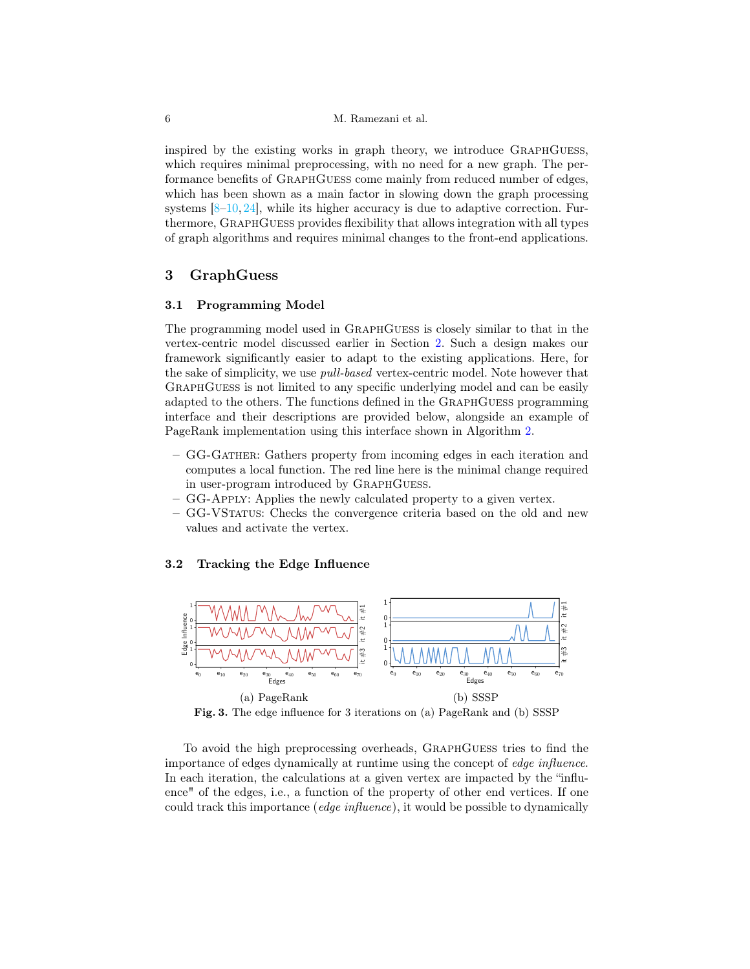inspired by the existing works in graph theory, we introduce GraphGuess, which requires minimal preprocessing, with no need for a new graph. The performance benefits of GraphGuess come mainly from reduced number of edges, which has been shown as a main factor in slowing down the graph processing systems  $[8-10, 24]$  $[8-10, 24]$  $[8-10, 24]$  $[8-10, 24]$ , while its higher accuracy is due to adaptive correction. Furthermore, GraphGuess provides flexibility that allows integration with all types of graph algorithms and requires minimal changes to the front-end applications.

# 3 GraphGuess

#### 3.1 Programming Model

The programming model used in GraphGuess is closely similar to that in the vertex-centric model discussed earlier in Section [2.](#page-1-0) Such a design makes our framework significantly easier to adapt to the existing applications. Here, for the sake of simplicity, we use pull-based vertex-centric model. Note however that GraphGuess is not limited to any specific underlying model and can be easily adapted to the others. The functions defined in the GraphGuess programming interface and their descriptions are provided below, alongside an example of PageRank implementation using this interface shown in Algorithm [2.](#page-6-0)

- GG-Gather: Gathers property from incoming edges in each iteration and computes a local function. The red line here is the minimal change required in user-program introduced by GraphGuess.
- GG-Apply: Applies the newly calculated property to a given vertex.
- GG-VStatus: Checks the convergence criteria based on the old and new values and activate the vertex.

#### 3.2 Tracking the Edge Influence

<span id="page-5-0"></span>

<span id="page-5-1"></span>Fig. 3. The edge influence for 3 iterations on (a) PageRank and (b) SSSP

To avoid the high preprocessing overheads, GraphGuess tries to find the importance of edges dynamically at runtime using the concept of edge influence. In each iteration, the calculations at a given vertex are impacted by the "influence" of the edges, i.e., a function of the property of other end vertices. If one could track this importance (edge influence), it would be possible to dynamically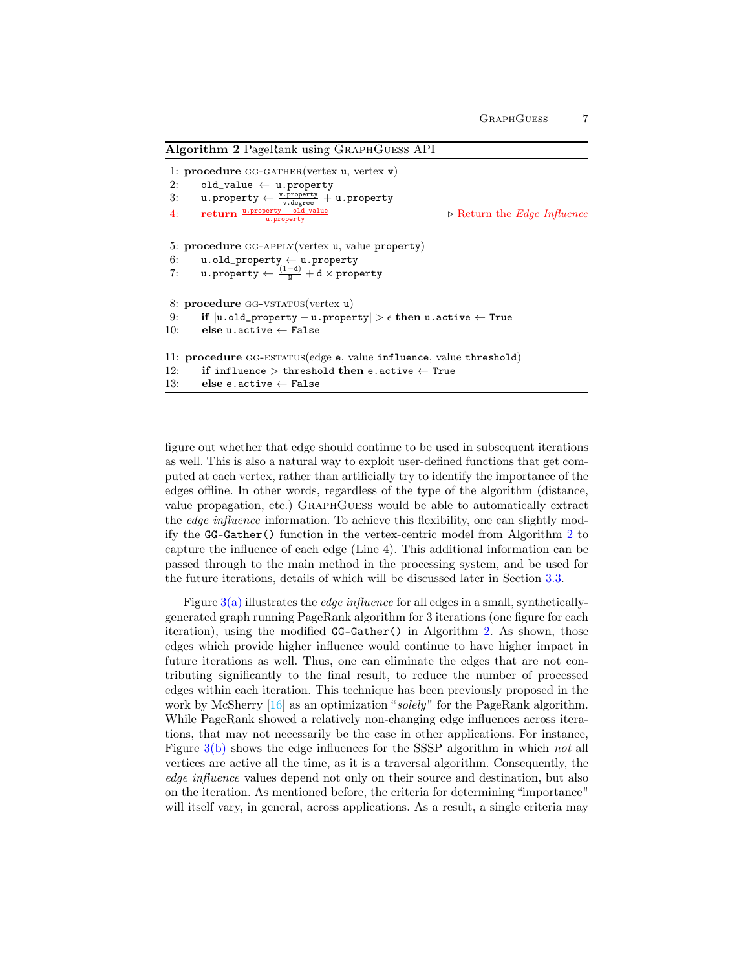```
Algorithm 2 PageRank using GraphGuess API
 1: procedure GG-GATHER(vertex u, vertex v)2: old_value \leftarrow u.property
 3: \quad \quad \text{u.preporty} \leftarrow \frac{\text{v.property}}{\text{v.degree}} + \text{u.property}4: return u.property - old_value \triangleright Return the Edge Influence
 5: procedure gg-apply(vertex u, value property)
 6: u.old_property \leftarrow u.property
 7: u.property \leftarrow \frac{(1-d)}{N} + d \times property
 8: procedure GG-VSTATUS(vertex u)
 9: if |u \text{ .old\_property} - u \text{ .property}| > \epsilon then u.active \leftarrow True
10: else u.active \leftarrow False
11: procedure GG-ESTATUS(edge e, value influence, value threshold)
12: if influence > threshold then e.active \leftarrow True
13: else e.active \leftarrow False
```
figure out whether that edge should continue to be used in subsequent iterations as well. This is also a natural way to exploit user-defined functions that get computed at each vertex, rather than artificially try to identify the importance of the edges offline. In other words, regardless of the type of the algorithm (distance, value propagation, etc.) GraphGuess would be able to automatically extract the *edge influence* information. To achieve this flexibility, one can slightly modify the GG-Gather() function in the vertex-centric model from Algorithm [2](#page-6-0) to capture the influence of each edge (Line 4). This additional information can be passed through to the main method in the processing system, and be used for the future iterations, details of which will be discussed later in Section [3.3.](#page-7-0)

Figure  $3(a)$  illustrates the *edge influence* for all edges in a small, syntheticallygenerated graph running PageRank algorithm for 3 iterations (one figure for each iteration), using the modified GG-Gather() in Algorithm [2.](#page-6-0) As shown, those edges which provide higher influence would continue to have higher impact in future iterations as well. Thus, one can eliminate the edges that are not contributing significantly to the final result, to reduce the number of processed edges within each iteration. This technique has been previously proposed in the work by McSherry [\[16\]](#page-15-2) as an optimization "solely" for the PageRank algorithm. While PageRank showed a relatively non-changing edge influences across iterations, that may not necessarily be the case in other applications. For instance, Figure  $3(b)$  shows the edge influences for the SSSP algorithm in which not all vertices are active all the time, as it is a traversal algorithm. Consequently, the edge influence values depend not only on their source and destination, but also on the iteration. As mentioned before, the criteria for determining "importance" will itself vary, in general, across applications. As a result, a single criteria may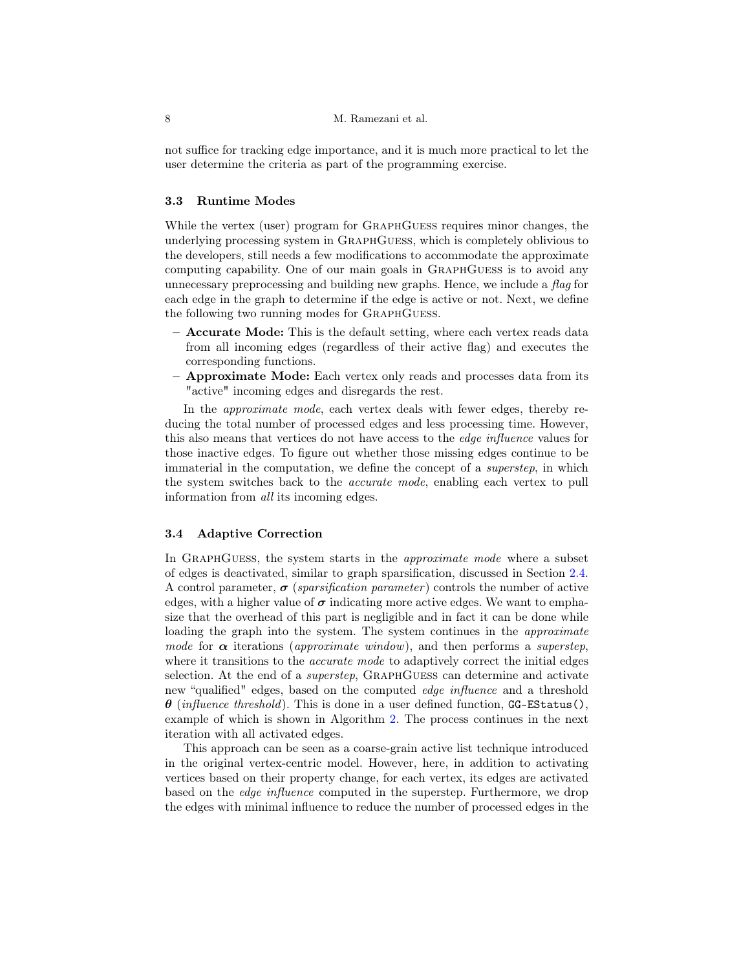#### 8 M. Ramezani et al.

not suffice for tracking edge importance, and it is much more practical to let the user determine the criteria as part of the programming exercise.

# <span id="page-7-0"></span>3.3 Runtime Modes

While the vertex (user) program for GRAPHGUESS requires minor changes, the underlying processing system in GraphGuess, which is completely oblivious to the developers, still needs a few modifications to accommodate the approximate computing capability. One of our main goals in GraphGuess is to avoid any unnecessary preprocessing and building new graphs. Hence, we include a flag for each edge in the graph to determine if the edge is active or not. Next, we define the following two running modes for GraphGuess.

- $-$  **Accurate Mode:** This is the default setting, where each vertex reads data from all incoming edges (regardless of their active flag) and executes the corresponding functions.
- Approximate Mode: Each vertex only reads and processes data from its "active" incoming edges and disregards the rest.

In the *approximate mode*, each vertex deals with fewer edges, thereby reducing the total number of processed edges and less processing time. However, this also means that vertices do not have access to the edge influence values for those inactive edges. To figure out whether those missing edges continue to be immaterial in the computation, we define the concept of a superstep, in which the system switches back to the accurate mode, enabling each vertex to pull information from all its incoming edges.

#### 3.4 Adaptive Correction

In GRAPHGUESS, the system starts in the *approximate mode* where a subset of edges is deactivated, similar to graph sparsification, discussed in Section [2.4.](#page-4-1) A control parameter,  $\sigma$  (sparsification parameter) controls the number of active edges, with a higher value of  $\sigma$  indicating more active edges. We want to emphasize that the overhead of this part is negligible and in fact it can be done while loading the graph into the system. The system continues in the *approximate* mode for  $\alpha$  iterations (approximate window), and then performs a superstep, where it transitions to the *accurate mode* to adaptively correct the initial edges selection. At the end of a *superstep*, GRAPHGUESS can determine and activate new "qualified" edges, based on the computed edge influence and a threshold  $\theta$  (influence threshold). This is done in a user defined function, GG-EStatus(), example of which is shown in Algorithm [2.](#page-6-0) The process continues in the next iteration with all activated edges.

This approach can be seen as a coarse-grain active list technique introduced in the original vertex-centric model. However, here, in addition to activating vertices based on their property change, for each vertex, its edges are activated based on the edge influence computed in the superstep. Furthermore, we drop the edges with minimal influence to reduce the number of processed edges in the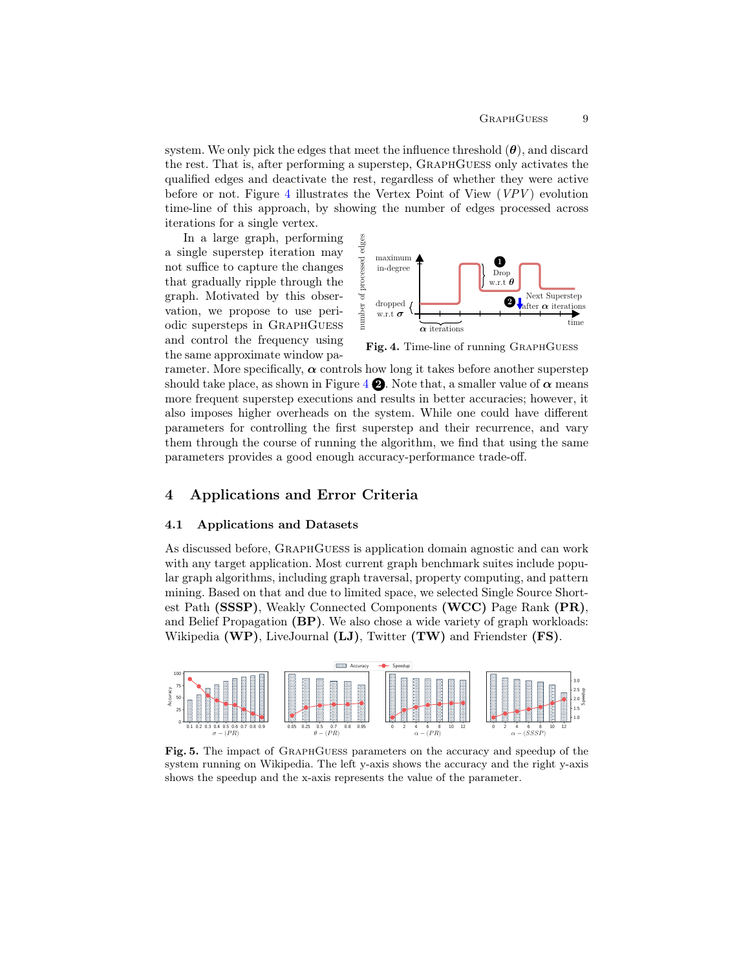system. We only pick the edges that meet the influence threshold  $(\theta)$ , and discard the rest. That is, after performing a superstep, GraphGuess only activates the qualified edges and deactivate the rest, regardless of whether they were active before or not. Figure [4](#page-8-0) illustrates the Vertex Point of View  $(VPV)$  evolution time-line of this approach, by showing the number of edges processed across iterations for a single vertex.

In a large graph, performing a single superstep iteration may not suffice to capture the changes that gradually ripple through the graph. Motivated by this observation, we propose to use periodic supersteps in GraphGuess and control the frequency using the same approximate window pa-



<span id="page-8-0"></span>Fig. 4. Time-line of running GraphGuess

rameter. More specifically,  $\alpha$  controls how long it takes before another superstep should take place, as shown in Figure [4](#page-8-0) 2. Note that, a smaller value of  $\alpha$  means more frequent superstep executions and results in better accuracies; however, it also imposes higher overheads on the system. While one could have different parameters for controlling the first superstep and their recurrence, and vary them through the course of running the algorithm, we find that using the same parameters provides a good enough accuracy-performance trade-off.

# 4 Applications and Error Criteria

#### 4.1 Applications and Datasets

As discussed before, GraphGuess is application domain agnostic and can work with any target application. Most current graph benchmark suites include popular graph algorithms, including graph traversal, property computing, and pattern mining. Based on that and due to limited space, we selected Single Source Shortest Path (SSSP), Weakly Connected Components (WCC) Page Rank (PR), and Belief Propagation (BP). We also chose a wide variety of graph workloads: Wikipedia (WP), LiveJournal (LJ), Twitter (TW) and Friendster (FS).



<span id="page-8-1"></span>Fig. 5. The impact of GraphGuess parameters on the accuracy and speedup of the system running on Wikipedia. The left y-axis shows the accuracy and the right y-axis shows the speedup and the x-axis represents the value of the parameter.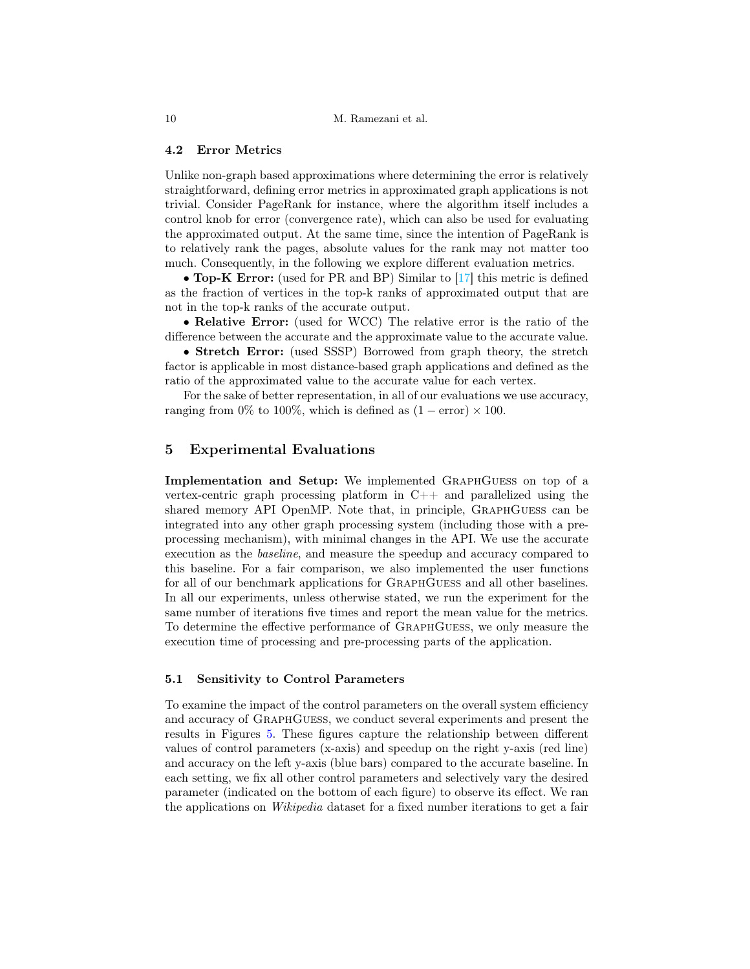#### 4.2 Error Metrics

Unlike non-graph based approximations where determining the error is relatively straightforward, defining error metrics in approximated graph applications is not trivial. Consider PageRank for instance, where the algorithm itself includes a control knob for error (convergence rate), which can also be used for evaluating the approximated output. At the same time, since the intention of PageRank is to relatively rank the pages, absolute values for the rank may not matter too much. Consequently, in the following we explore different evaluation metrics.

• Top-K Error: (used for PR and BP) Similar to [\[17\]](#page-15-3) this metric is defined as the fraction of vertices in the top-k ranks of approximated output that are not in the top-k ranks of the accurate output.

• Relative Error: (used for WCC) The relative error is the ratio of the difference between the accurate and the approximate value to the accurate value.

• Stretch Error: (used SSSP) Borrowed from graph theory, the stretch factor is applicable in most distance-based graph applications and defined as the ratio of the approximated value to the accurate value for each vertex.

For the sake of better representation, in all of our evaluations we use accuracy, ranging from 0% to 100%, which is defined as  $(1 - error) \times 100$ .

# 5 Experimental Evaluations

Implementation and Setup: We implemented GraphGuess on top of a vertex-centric graph processing platform in  $C++$  and parallelized using the shared memory API OpenMP. Note that, in principle, GraphGuess can be integrated into any other graph processing system (including those with a preprocessing mechanism), with minimal changes in the API. We use the accurate execution as the baseline, and measure the speedup and accuracy compared to this baseline. For a fair comparison, we also implemented the user functions for all of our benchmark applications for GraphGuess and all other baselines. In all our experiments, unless otherwise stated, we run the experiment for the same number of iterations five times and report the mean value for the metrics. To determine the effective performance of GraphGuess, we only measure the execution time of processing and pre-processing parts of the application.

#### <span id="page-9-0"></span>5.1 Sensitivity to Control Parameters

To examine the impact of the control parameters on the overall system efficiency and accuracy of GraphGuess, we conduct several experiments and present the results in Figures [5.](#page-8-1) These figures capture the relationship between different values of control parameters (x-axis) and speedup on the right y-axis (red line) and accuracy on the left y-axis (blue bars) compared to the accurate baseline. In each setting, we fix all other control parameters and selectively vary the desired parameter (indicated on the bottom of each figure) to observe its effect. We ran the applications on Wikipedia dataset for a fixed number iterations to get a fair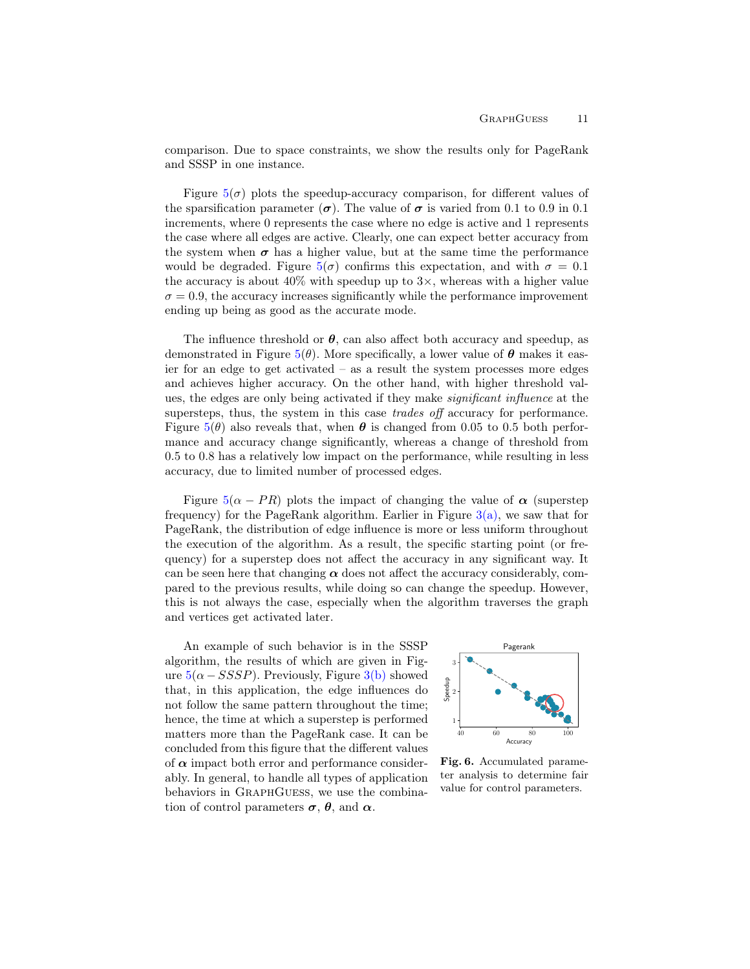comparison. Due to space constraints, we show the results only for PageRank and SSSP in one instance.

Figure  $5(\sigma)$  $5(\sigma)$  plots the speedup-accuracy comparison, for different values of the sparsification parameter  $(\sigma)$ . The value of  $\sigma$  is varied from 0.1 to 0.9 in 0.1 increments, where 0 represents the case where no edge is active and 1 represents the case where all edges are active. Clearly, one can expect better accuracy from the system when  $\sigma$  has a higher value, but at the same time the performance would be degraded. Figure  $5(\sigma)$  $5(\sigma)$  confirms this expectation, and with  $\sigma = 0.1$ the accuracy is about  $40\%$  with speedup up to  $3\times$ , whereas with a higher value  $\sigma = 0.9$ , the accuracy increases significantly while the performance improvement ending up being as good as the accurate mode.

The influence threshold or  $\theta$ , can also affect both accuracy and speedup, as demonstrated in Figure  $5(\theta)$  $5(\theta)$ . More specifically, a lower value of  $\theta$  makes it easier for an edge to get activated – as a result the system processes more edges and achieves higher accuracy. On the other hand, with higher threshold values, the edges are only being activated if they make significant influence at the supersteps, thus, the system in this case *trades off* accuracy for performance. Figure  $5(\theta)$  $5(\theta)$  also reveals that, when  $\theta$  is changed from 0.05 to 0.5 both performance and accuracy change significantly, whereas a change of threshold from 0.5 to 0.8 has a relatively low impact on the performance, while resulting in less accuracy, due to limited number of processed edges.

Figure  $5(\alpha - PR)$  $5(\alpha - PR)$  plots the impact of changing the value of  $\alpha$  (superstep frequency) for the PageRank algorithm. Earlier in Figure  $3(a)$ , we saw that for PageRank, the distribution of edge influence is more or less uniform throughout the execution of the algorithm. As a result, the specific starting point (or frequency) for a superstep does not affect the accuracy in any significant way. It can be seen here that changing  $\alpha$  does not affect the accuracy considerably, compared to the previous results, while doing so can change the speedup. However, this is not always the case, especially when the algorithm traverses the graph and vertices get activated later.

An example of such behavior is in the SSSP algorithm, the results of which are given in Figure  $5(\alpha - SSSP)$  $5(\alpha - SSSP)$ . Previously, Figure [3\(b\)](#page-5-1) showed that, in this application, the edge influences do not follow the same pattern throughout the time; hence, the time at which a superstep is performed matters more than the PageRank case. It can be concluded from this figure that the different values of  $\alpha$  impact both error and performance considerably. In general, to handle all types of application behaviors in GraphGuess, we use the combination of control parameters  $\sigma$ ,  $\theta$ , and  $\alpha$ .



<span id="page-10-0"></span>Fig. 6. Accumulated parameter analysis to determine fair value for control parameters.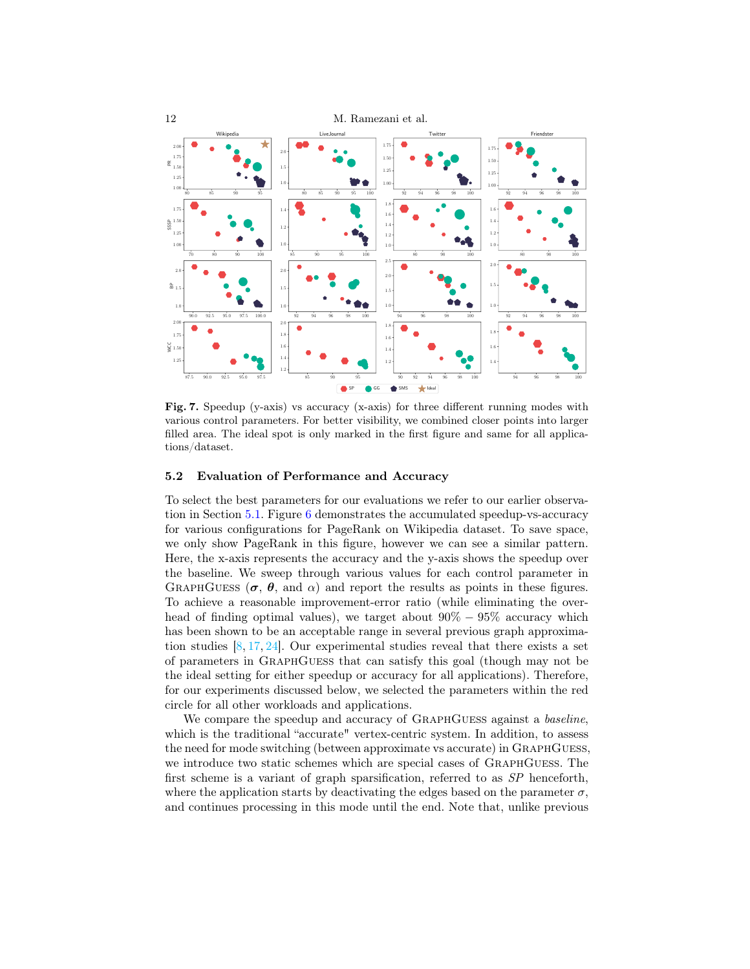12 M. Ramezani et al.



<span id="page-11-0"></span>Fig. 7. Speedup (y-axis) vs accuracy (x-axis) for three different running modes with various control parameters. For better visibility, we combined closer points into larger filled area. The ideal spot is only marked in the first figure and same for all applications/dataset.

#### <span id="page-11-1"></span>5.2 Evaluation of Performance and Accuracy

To select the best parameters for our evaluations we refer to our earlier observation in Section [5.1.](#page-9-0) Figure [6](#page-10-0) demonstrates the accumulated speedup-vs-accuracy for various configurations for PageRank on Wikipedia dataset. To save space, we only show PageRank in this figure, however we can see a similar pattern. Here, the x-axis represents the accuracy and the y-axis shows the speedup over the baseline. We sweep through various values for each control parameter in GRAPHGUESS ( $\sigma$ ,  $\theta$ , and  $\alpha$ ) and report the results as points in these figures. To achieve a reasonable improvement-error ratio (while eliminating the overhead of finding optimal values), we target about  $90\% - 95\%$  accuracy which has been shown to be an acceptable range in several previous graph approximation studies  $[8, 17, 24]$  $[8, 17, 24]$  $[8, 17, 24]$  $[8, 17, 24]$  $[8, 17, 24]$ . Our experimental studies reveal that there exists a set of parameters in GraphGuess that can satisfy this goal (though may not be the ideal setting for either speedup or accuracy for all applications). Therefore, for our experiments discussed below, we selected the parameters within the red circle for all other workloads and applications.

We compare the speedup and accuracy of GRAPHGUESS against a baseline, which is the traditional "accurate" vertex-centric system. In addition, to assess the need for mode switching (between approximate vs accurate) in GraphGuess, we introduce two static schemes which are special cases of GraphGuess. The first scheme is a variant of graph sparsification, referred to as SP henceforth, where the application starts by deactivating the edges based on the parameter  $\sigma$ , and continues processing in this mode until the end. Note that, unlike previous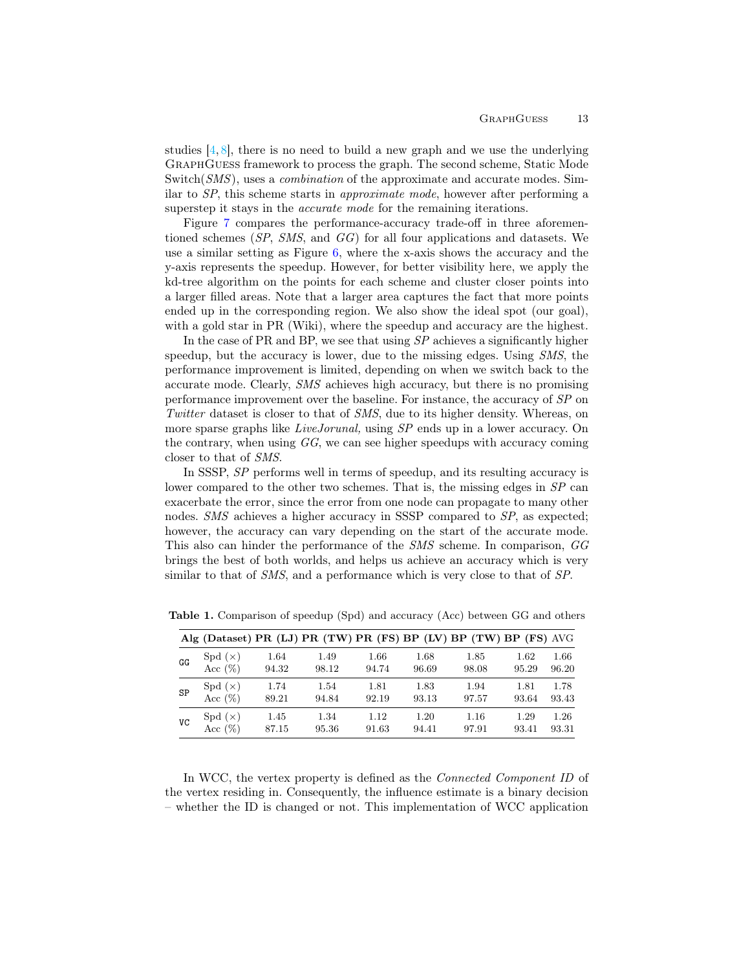studies  $[4, 8]$  $[4, 8]$  $[4, 8]$ , there is no need to build a new graph and we use the underlying GraphGuess framework to process the graph. The second scheme, Static Mode Switch(SMS), uses a *combination* of the approximate and accurate modes. Similar to SP, this scheme starts in approximate mode, however after performing a superstep it stays in the *accurate mode* for the remaining iterations.

Figure [7](#page-11-0) compares the performance-accuracy trade-off in three aforementioned schemes ( $SP$ ,  $SMS$ , and  $GG$ ) for all four applications and datasets. We use a similar setting as Figure [6,](#page-10-0) where the x-axis shows the accuracy and the y-axis represents the speedup. However, for better visibility here, we apply the kd-tree algorithm on the points for each scheme and cluster closer points into a larger filled areas. Note that a larger area captures the fact that more points ended up in the corresponding region. We also show the ideal spot (our goal), with a gold star in PR (Wiki), where the speedup and accuracy are the highest.

In the case of PR and BP, we see that using SP achieves a significantly higher speedup, but the accuracy is lower, due to the missing edges. Using SMS, the performance improvement is limited, depending on when we switch back to the accurate mode. Clearly, SMS achieves high accuracy, but there is no promising performance improvement over the baseline. For instance, the accuracy of SP on Twitter dataset is closer to that of SMS, due to its higher density. Whereas, on more sparse graphs like *LiveJorunal*, using SP ends up in a lower accuracy. On the contrary, when using  $GG$ , we can see higher speedups with accuracy coming closer to that of SMS.

In SSSP, SP performs well in terms of speedup, and its resulting accuracy is lower compared to the other two schemes. That is, the missing edges in SP can exacerbate the error, since the error from one node can propagate to many other nodes. SMS achieves a higher accuracy in SSSP compared to SP, as expected; however, the accuracy can vary depending on the start of the accurate mode. This also can hinder the performance of the SMS scheme. In comparison, GG brings the best of both worlds, and helps us achieve an accuracy which is very similar to that of SMS, and a performance which is very close to that of SP.

<span id="page-12-0"></span>

|    |            |       | Alg (Dataset) PR (LJ) PR (TW) PR (FS) BP (LV) BP (TW) BP (FS) AVG |       |       |       |       |       |
|----|------------|-------|-------------------------------------------------------------------|-------|-------|-------|-------|-------|
| GG | Spd(x)     | 1.64  | 1.49                                                              | 1.66  | 1.68  | 1.85  | 1.62  | 1.66  |
|    | Acc $(\%)$ | 94.32 | 98.12                                                             | 94.74 | 96.69 | 98.08 | 95.29 | 96.20 |
| SP | Spd(x)     | 1.74  | 1.54                                                              | 1.81  | 1.83  | 1.94  | 1.81  | 1.78  |
|    | Acc $(\%)$ | 89.21 | 94.84                                                             | 92.19 | 93.13 | 97.57 | 93.64 | 93.43 |
| VC | Spd(x)     | 1.45  | 1.34                                                              | 1.12  | 1.20  | 1.16  | 1.29  | 1.26  |
|    | Acc $(\%)$ | 87.15 | 95.36                                                             | 91.63 | 94.41 | 97.91 | 93.41 | 93.31 |

Table 1. Comparison of speedup (Spd) and accuracy (Acc) between GG and others

In WCC, the vertex property is defined as the Connected Component ID of the vertex residing in. Consequently, the influence estimate is a binary decision – whether the ID is changed or not. This implementation of WCC application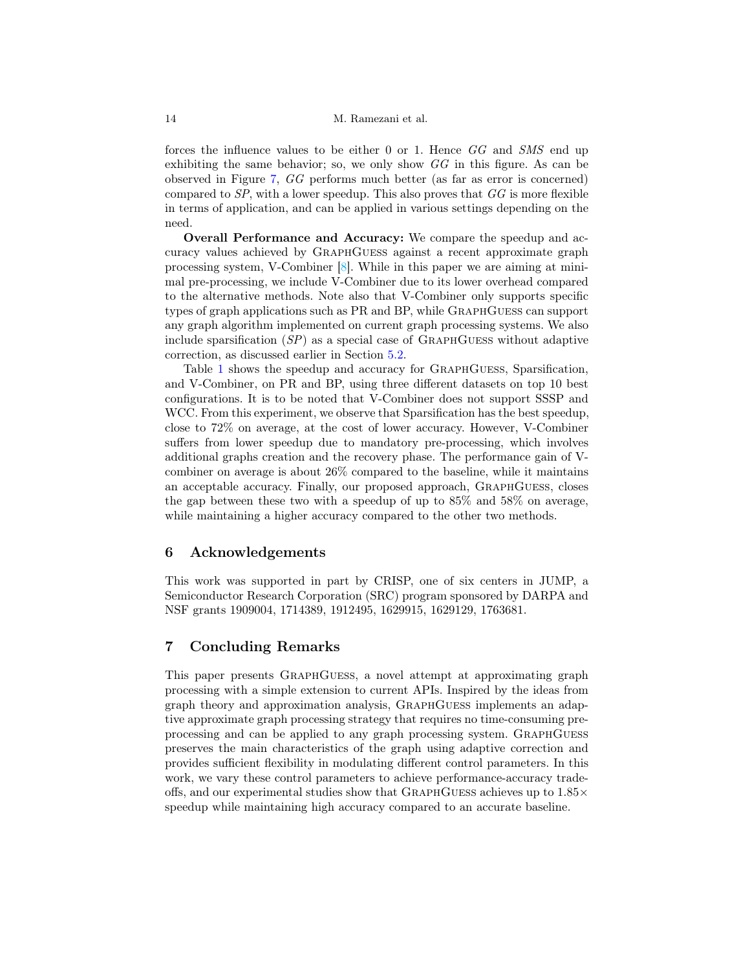forces the influence values to be either 0 or 1. Hence GG and SMS end up exhibiting the same behavior; so, we only show  $GG$  in this figure. As can be observed in Figure [7,](#page-11-0) GG performs much better (as far as error is concerned) compared to  $SP$ , with a lower speedup. This also proves that  $GG$  is more flexible in terms of application, and can be applied in various settings depending on the need.

Overall Performance and Accuracy: We compare the speedup and accuracy values achieved by GraphGuess against a recent approximate graph processing system, V-Combiner [\[8\]](#page-14-5). While in this paper we are aiming at minimal pre-processing, we include V-Combiner due to its lower overhead compared to the alternative methods. Note also that V-Combiner only supports specific types of graph applications such as PR and BP, while GraphGuess can support any graph algorithm implemented on current graph processing systems. We also include sparsification  $(SP)$  as a special case of GRAPHGUESS without adaptive correction, as discussed earlier in Section [5.2.](#page-11-1)

Table [1](#page-12-0) shows the speedup and accuracy for GraphGuess, Sparsification, and V-Combiner, on PR and BP, using three different datasets on top 10 best configurations. It is to be noted that V-Combiner does not support SSSP and WCC. From this experiment, we observe that Sparsification has the best speedup, close to 72% on average, at the cost of lower accuracy. However, V-Combiner suffers from lower speedup due to mandatory pre-processing, which involves additional graphs creation and the recovery phase. The performance gain of Vcombiner on average is about 26% compared to the baseline, while it maintains an acceptable accuracy. Finally, our proposed approach, GraphGuess, closes the gap between these two with a speedup of up to 85% and 58% on average, while maintaining a higher accuracy compared to the other two methods.

# 6 Acknowledgements

This work was supported in part by CRISP, one of six centers in JUMP, a Semiconductor Research Corporation (SRC) program sponsored by DARPA and NSF grants 1909004, 1714389, 1912495, 1629915, 1629129, 1763681.

# 7 Concluding Remarks

This paper presents GraphGuess, a novel attempt at approximating graph processing with a simple extension to current APIs. Inspired by the ideas from graph theory and approximation analysis, GraphGuess implements an adaptive approximate graph processing strategy that requires no time-consuming preprocessing and can be applied to any graph processing system. GraphGuess preserves the main characteristics of the graph using adaptive correction and provides sufficient flexibility in modulating different control parameters. In this work, we vary these control parameters to achieve performance-accuracy tradeoffs, and our experimental studies show that GRAPHGUESS achieves up to  $1.85\times$ speedup while maintaining high accuracy compared to an accurate baseline.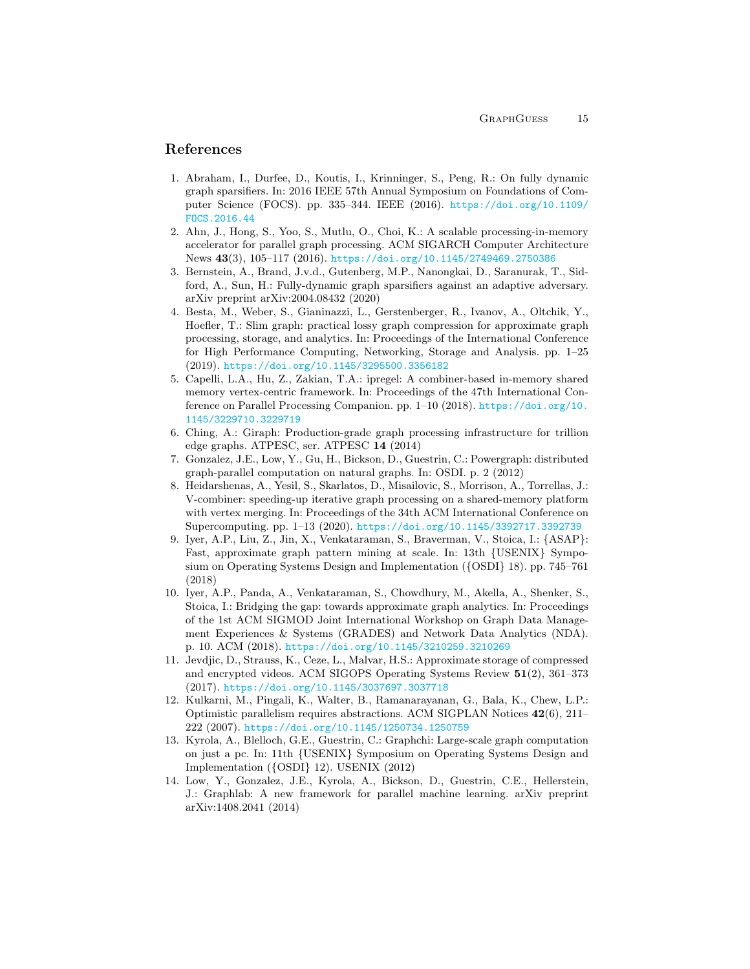# References

- <span id="page-14-12"></span>1. Abraham, I., Durfee, D., Koutis, I., Krinninger, S., Peng, R.: On fully dynamic graph sparsifiers. In: 2016 IEEE 57th Annual Symposium on Foundations of Computer Science (FOCS). pp. 335–344. IEEE (2016). [https://doi.org/10.1109/](https://doi.org/10.1109/FOCS.2016.44) [FOCS.2016.44](https://doi.org/10.1109/FOCS.2016.44)
- <span id="page-14-9"></span>2. Ahn, J., Hong, S., Yoo, S., Mutlu, O., Choi, K.: A scalable processing-in-memory accelerator for parallel graph processing. ACM SIGARCH Computer Architecture News 43(3), 105–117 (2016). <https://doi.org/10.1145/2749469.2750386>
- <span id="page-14-13"></span>3. Bernstein, A., Brand, J.v.d., Gutenberg, M.P., Nanongkai, D., Saranurak, T., Sidford, A., Sun, H.: Fully-dynamic graph sparsifiers against an adaptive adversary. arXiv preprint arXiv:2004.08432 (2020)
- <span id="page-14-4"></span>4. Besta, M., Weber, S., Gianinazzi, L., Gerstenberger, R., Ivanov, A., Oltchik, Y., Hoefler, T.: Slim graph: practical lossy graph compression for approximate graph processing, storage, and analytics. In: Proceedings of the International Conference for High Performance Computing, Networking, Storage and Analysis. pp. 1–25 (2019). <https://doi.org/10.1145/3295500.3356182>
- <span id="page-14-10"></span>5. Capelli, L.A., Hu, Z., Zakian, T.A.: ipregel: A combiner-based in-memory shared memory vertex-centric framework. In: Proceedings of the 47th International Conference on Parallel Processing Companion. pp. 1–10 (2018). [https://doi.org/10.](https://doi.org/10.1145/3229710.3229719) [1145/3229710.3229719](https://doi.org/10.1145/3229710.3229719)
- <span id="page-14-3"></span>6. Ching, A.: Giraph: Production-grade graph processing infrastructure for trillion edge graphs. ATPESC, ser. ATPESC 14 (2014)
- <span id="page-14-8"></span>7. Gonzalez, J.E., Low, Y., Gu, H., Bickson, D., Guestrin, C.: Powergraph: distributed graph-parallel computation on natural graphs. In: OSDI. p. 2 (2012)
- <span id="page-14-5"></span>8. Heidarshenas, A., Yesil, S., Skarlatos, D., Misailovic, S., Morrison, A., Torrellas, J.: V-combiner: speeding-up iterative graph processing on a shared-memory platform with vertex merging. In: Proceedings of the 34th ACM International Conference on Supercomputing. pp. 1–13 (2020). <https://doi.org/10.1145/3392717.3392739>
- <span id="page-14-2"></span>9. Iyer, A.P., Liu, Z., Jin, X., Venkataraman, S., Braverman, V., Stoica, I.: {ASAP}: Fast, approximate graph pattern mining at scale. In: 13th {USENIX} Symposium on Operating Systems Design and Implementation ({OSDI} 18). pp. 745–761 (2018)
- <span id="page-14-6"></span>10. Iyer, A.P., Panda, A., Venkataraman, S., Chowdhury, M., Akella, A., Shenker, S., Stoica, I.: Bridging the gap: towards approximate graph analytics. In: Proceedings of the 1st ACM SIGMOD Joint International Workshop on Graph Data Management Experiences & Systems (GRADES) and Network Data Analytics (NDA). p. 10. ACM (2018). <https://doi.org/10.1145/3210259.3210269>
- <span id="page-14-11"></span>11. Jevdjic, D., Strauss, K., Ceze, L., Malvar, H.S.: Approximate storage of compressed and encrypted videos. ACM SIGOPS Operating Systems Review 51(2), 361–373 (2017). <https://doi.org/10.1145/3037697.3037718>
- <span id="page-14-7"></span>12. Kulkarni, M., Pingali, K., Walter, B., Ramanarayanan, G., Bala, K., Chew, L.P.: Optimistic parallelism requires abstractions. ACM SIGPLAN Notices 42(6), 211– 222 (2007). <https://doi.org/10.1145/1250734.1250759>
- <span id="page-14-0"></span>13. Kyrola, A., Blelloch, G.E., Guestrin, C.: Graphchi: Large-scale graph computation on just a pc. In: 11th {USENIX} Symposium on Operating Systems Design and Implementation ({OSDI} 12). USENIX (2012)
- <span id="page-14-1"></span>14. Low, Y., Gonzalez, J.E., Kyrola, A., Bickson, D., Guestrin, C.E., Hellerstein, J.: Graphlab: A new framework for parallel machine learning. arXiv preprint arXiv:1408.2041 (2014)